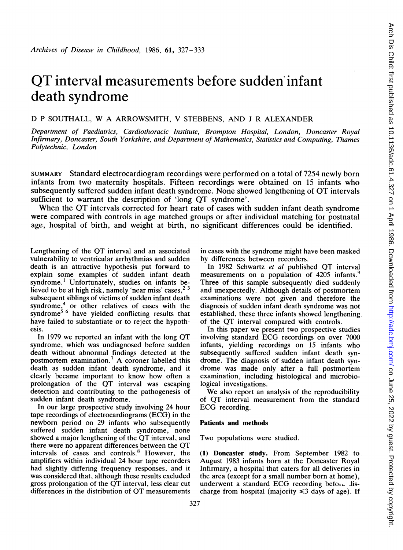# QT interval measurements before sudden infant death syndrome

## D <sup>P</sup> SOUTHALL, W A ARROWSMITH, V STEBBENS, AND <sup>J</sup> R ALEXANDER

Department of Paediatrics, Cardiothoracic Institute, Brompton Hospital, London, Doncaster Royal Infirmary, Doncaster, South Yorkshire, and Department of Mathematics, Statistics and Computing, Thames Polytechnic, London

SUMMARY Standard electrocardiogram recordings were performed on a total of 7254 newly born infants from two maternity hospitals. Fifteen recordings were obtained on 15 infants who subsequently suffered sudden infant death syndrome. None showed lengthening of OT intervals sufficient to warrant the description of 'long QT syndrome'.

When the QT intervals corrected for heart rate of cases with sudden infant death syndrome were compared with controls in age matched groups or after individual matching for postnatal age, hospital of birth, and weight at birth, no significant differences could be identified.

Lengthening of the QT interval and an associated vulnerability to ventricular arrhythmias and sudden death is an attractive hypothesis put forward to explain some examples of sudden infant death syndrome.' Unfortunately, studies on infants believed to be at high risk, namely 'near miss' cases,<sup>23</sup> subsequent siblings of victims of sudden infant death syndrome,<sup>+</sup> or other relatives of cases with the syndrome<sup>3</sup> have yielded conflicting results that have failed to substantiate or to reject the hypothesis.

In <sup>1979</sup> we reported an infant with the long QT syndrome, which was undiagnosed before sudden death without abnormal findings detected at the postmortem examination.7 A coroner labelled this death as sudden infant death syndrome, and it clearly became important to know how often a prolongation of the QT interval was escaping detection and contributing to the pathogenesis of sudden infant death syndrome.

In our large prospective study involving 24 hour tape recordings of electrocardiograms (ECG) in the newborn period on 29 infants who subsequently suffered sudden infant death syndrome, none showed <sup>a</sup> major lengthening of the QT interval, and there were no apparent differences between the QT intervals of cases and controls.8 However, the amplifiers within individual 24 hour tape recorders had slightly differing frequency responses, and it was considered that, although these results excluded gross prolongation of the QT interval, less clear cut differences in the distribution of QT measurements in cases with the syndrome might have been masked by differences between recorders.

In 1982 Schwartz et al published QT interval measurements on a population of 4205 infants.<sup>9</sup> Three of this sample subsequently died suddenly and unexpectedly. Although details of postmortem examinations were not given and therefore the diagnosis of sudden infant death syndrome was not established, these three infants showed lengthening of the QT interval compared with controls.

In this paper we present two prospective studies involving standard ECG recordings on over <sup>7000</sup> infants, yielding recordings on 15 infants who subsequently suffered sudden infant death syndrome. The diagnosis of sudden infant death syndrome was made only after a full postmortemexamination, including histological and microbiological investigations.

We also report an analysis of the reproducibility of QT interval measurement from the standard ECG recording.

#### Patients and methods

Two populations were studied.

(1) Doncaster study. From September 1982 to August 1983 infants born at the Doncaster Royal Infirmary, a hospital that caters for all deliveries in the area (except for a small number born at home), underwent a standard ECG recording beton  $\cup$  Jischarge from hospital (majority  $\leq$ 3 days of age). If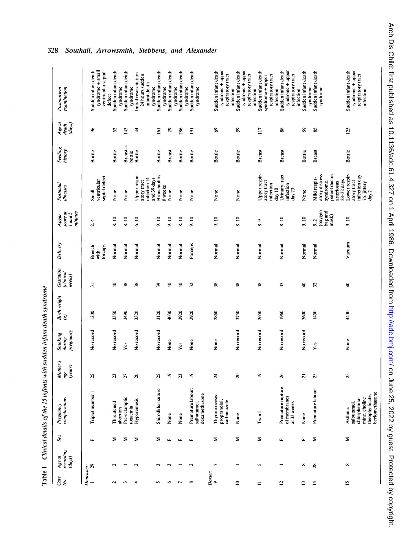| i                                                   |
|-----------------------------------------------------|
| ֖֖֖֖ׅ֖֧ׅ֖֧ׅ֖֚֚֚֚֚֚֚֚֚֚֚֚֚֚֚֚֚֚֚֚֚֚֚֚֚֚֚֚֚֬֝֝֝֬<br>Ē |

| Case<br>No   | recording<br>(days)<br>Age at | Sex            | complications<br>Pregnancy                                                                    | Mother's<br>(years)<br>$age$ | pregnancy<br>Smoking<br>during   | Birth weight<br>(g) | Gestation<br>(clinical<br>weeks) | Delivery                  | score al<br>minutes<br>I and 5<br>Apgar | Postnatal<br>illnesses                                                                     | Feeding<br>history  | $\begin{array}{l} A g e \; a t \\ de a t h \\ (d a y s) \end{array}$ | examination<br>Postmortem                                                              |
|--------------|-------------------------------|----------------|-----------------------------------------------------------------------------------------------|------------------------------|----------------------------------|---------------------|----------------------------------|---------------------------|-----------------------------------------|--------------------------------------------------------------------------------------------|---------------------|----------------------------------------------------------------------|----------------------------------------------------------------------------------------|
|              | $\frac{D \text{orcaster}}{1}$ | Щ.             | Triplet number 1                                                                              | S                            | No record                        | 1200                | $\overline{5}$                   | forceps<br>Breech<br>with | 2, 4                                    | septal defect<br>ventricular<br>Small                                                      | Bottle              | 8                                                                    | Sudden infant death<br>syndrome + smal<br>ventricular septal                           |
|              | $\sim$                        | Σ              | Threatened                                                                                    | 23                           | No record                        | 3350                | ş                                | Normal                    | 8.10                                    | None                                                                                       | Bottle              | α                                                                    | Sudden infant death<br>defect                                                          |
|              |                               | Σ              | iptic<br>Pre-eclam<br>abortion                                                                | 27                           | Yes                              | 3490                | 38                               | Normal                    | 8.10                                    | None                                                                                       | $Breat \rightarrow$ | 143                                                                  | Sudden infant death<br>syndrome                                                        |
|              | $\sim$                        | Σ              | $\overline{\text{cis}}$<br>toxaemia<br>Hypereme                                               | $\tilde{\kappa}$             | No record                        | 3320                | $\frac{8}{36}$                   | Normal                    | 6.10                                    | Upper respir-<br>infection 14<br>atory tract                                               | bottle<br>Bottle    | $\boldsymbol{4}$                                                     | Initial resuscitation<br>24 hours sudden<br>infant death<br>syndrome                   |
|              | ٤                             | Σ              | Shirodkhar suture                                                                             | 25                           | No record                        | 3120                | 39                               | Normal                    | 9.10                                    | <b>Bronchiolitis</b><br>and 39 days<br>8 weeks                                             | Bottle              | $\overline{5}$                                                       | Sudden infant death<br>syndrome<br>syndrome                                            |
|              | ς                             | μ,             | None                                                                                          | ደ                            | None                             | 4030                | ş                                | Normal                    | 9,10                                    | None                                                                                       | <b>Breast</b>       | 50                                                                   | Sudden infant death                                                                    |
|              |                               | $\mathbf{u}$   | None                                                                                          | 23                           | Yes                              | 2920                | ş                                | Normal                    | 8.10                                    | None                                                                                       | Bottle              | 286                                                                  | Sudden infant death<br>syndrome                                                        |
|              | $\sim$                        | $\mathbf{u}_i$ | Premature labour;<br>dexamethasone<br>salbutamol,                                             | ₽                            | None                             | 2920                | $\mathfrak{L}$                   | Forceps                   | 9.10                                    | None                                                                                       | Bottle              | $\overline{2}$                                                       | Sudden infant death<br>syndrome<br>syndrome                                            |
| Dorset:<br>9 | $\overline{ }$                | Σ              | Thyrotoxicosis;<br>propranolol,<br>carbimazole                                                | $\boldsymbol{z}$             | None                             | 2860                | 38                               | Normal                    | 9.10                                    | None                                                                                       | Bottle              | 3                                                                    | Sudden infant death<br>syndrome + upper<br>respiratory tract                           |
|              | -                             | Σ              | None                                                                                          | $\boldsymbol{z}$             | No record                        | 3750                | 38                               | Normal                    | 8.10                                    | None                                                                                       | Bottle              | $\mathbb{S}^2$                                                       | Sudden infant death<br>syndrome + upper<br>respiratory tract<br>infection              |
|              | S                             | Σ              | Twin I                                                                                        | ≘                            | No record                        | 2650                | 38                               | Normal                    | 8.9                                     | Upper respir-<br>atory tract<br>infection                                                  | <b>Breast</b>       | $\Xi$                                                                | Sudden infant death<br>respiratory tract<br>syndrome + upper<br>infection              |
|              | -                             | $\mathbf{r}$   | Premature rupture<br>of membranes<br>at 33 weeks                                              | $\boldsymbol{z}$             | No record                        | 1960                | z                                | Normal                    | $\frac{8}{6}$ .10                       | Urinary tract<br>infection<br>day 10<br>day $23$                                           | Breas               | æ                                                                    | Sudden infant death<br>syndrome + upper<br>respiratory tract<br>infection<br>infection |
|              | $_{\infty}$                   | ш              | None                                                                                          | 51                           | No record                        | 3600                | ₽                                | Normal                    | 9.10                                    | None                                                                                       | Bottle              | S                                                                    | Sudden infant death                                                                    |
|              | $\frac{8}{28}$                | Σ              | Premature labour                                                                              | $\mathfrak{L}$               | $\mathbf{Y}\mathbf{c}\mathbf{s}$ | 1450                | $\mathfrak{L}$                   | Normal                    | (oxygen<br>bag and<br>$mask$<br>5.2     | patent ductus<br>atory distress<br>Mild respir-<br>$28-32$ days<br>syndrome,<br>arteriosus | <b>Breast</b>       | 85                                                                   | Sudden infant death<br>syndrome<br>syndrome                                            |
|              | $\infty$                      | Σ              | theophyllinate.<br>beclomethasone<br>chlorphenira-<br>mine, choline<br>salbutamol.<br>Asthma; | $\mathfrak{L}$               | None                             | 4430                | ş                                | Vacuum                    | 9,10                                    | Lower respir-<br>infection day<br>atory tract<br>76. jittery<br>day 2                      | Bottle              | 125                                                                  | Sudden infant death<br>syndrome + upper<br>respiratory tract<br>infection              |

## 328 Southall, Arrowsmith, Stebbens, and Alexander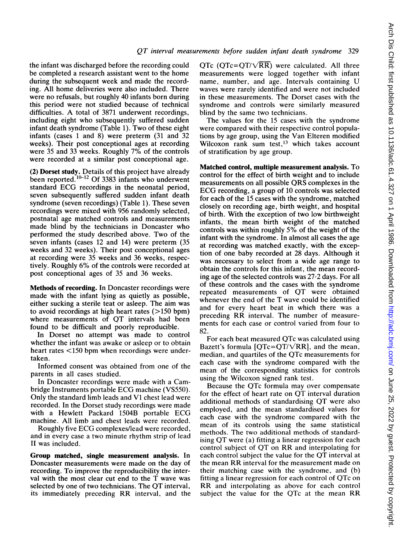the infant was discharged before the recording could be completed a research assistant went to the home during the subsequent week and made the recording. All home deliveries were also included. There were no refusals, but roughly 40 infants born during this period were not studied because of technical difficulties. A total of <sup>3871</sup> underwent recordings, including eight who subsequently suffered sudden infant death syndrome (Table 1). Two of these eight infants (cases <sup>1</sup> and 8) were preterm (31 and 32 weeks). Their post conceptional ages at recording were <sup>35</sup> and <sup>33</sup> weeks. Roughly 7% of the controls were recorded at a similar post conceptional age.

(2) Dorset study. Details of this project have already been reported.<sup>10-12</sup> Of 3383 infants who underwent standard ECG recordings in the neonatal period, seven subsequently suffered sudden infant death syndrome (seven recordings) (Table 1). These seven recordings were mixed with 956 randomly selected, postnatal age matched controls and measurements made blind by the technicians in Doncaster who performed the study described above. Two of the seven infants (cases 12 and 14) were preterm (35 weeks and 32 weeks). Their post conceptional ages at recording were 35 weeks and 36 weeks, respectively. Roughly 6% of the controls were recorded at post conceptional ages of 35 and 36 weeks.

Methods of recording. In Doncaster recordings were made with the infant lying as quietly as possible, either sucking a sterile teat or asleep. The aim was to avoid recordings at high heart rates  $(>150$  bpm) where measurements of QT intervals had been found to be difficult and poorly reproducible.

In Dorset no attempt was made to control whether the infant was awake or asleep or to obtain heart rates <150 bpm when recordings were undertaken.

Informed consent was obtained from one of the parents in all cases studied.

In Doncaster recordings were made with a Cambridge Instruments portable ECG machine (VS550). Only the standard limb leads and Vl chest lead were recorded. In the Dorset study recordings were made with <sup>a</sup> Hewlett Packard 1504B portable ECG machine. All limb and chest leads were recorded.

Roughly five ECG complexes/lead were recorded, and in every case a two minute rhythm strip of lead II was included.

Group matched, single measurement analysis. In Doncaster measurements were made on the day of recording. To improve the reproducibility the interval with the most clear cut end to the T wave was selected by one of two technicians. The QT interval, its immediately preceding RR interval, and the

QTc (QTc=QT/ $\sqrt{RR}$ ) were calculated. All three measurements were logged together with infant name, number, and age. Intervals containing U waves were rarely identified and were not included in these measurements. The Dorset cases with the syndrome and controls were similarly measured blind by the same two technicians.

The values for the 15 cases with the syndrome were compared with their respective control populations by age group, using the Van Elteren modified Wilcoxon rank sum test,<sup>13</sup> which takes account of stratification by age group.

Matched control, multiple measurement analysis. To control for the effect of birth weight and to include measurements on all possible ORS complexes in the ECG recording, <sup>a</sup> group of <sup>10</sup> controls was selected for each of the 15 cases with the syndrome, matched closely on recording age, birth weight, and hospital of birth. With the exception of two low birthweight infants, the mean birth weight of the matched controls was within roughly 5% of the weight of the infant with the syndrome. In almost all cases the age at recording was matched exactly, with the exception of one baby recorded at 28 days. Although it was necessary to select from a wide age range to obtain the controls for this infant, the mean recording age of the selected controls was 27-2 days. For all of these controls and the cases with the syndrome repeated measurements of QT were obtained whenever the end of the T wave could be identified and for every heart beat in which there was a preceding RR interval. The number of measurements for each case or control varied from four to 82.

For each beat measured QTc was calculated using Bazett's formula  $[QTc=QT/\sqrt{RR}]$ , and the mean, median, and quartiles of the QTc measurements for each case with the syndrome compared with the mean of the corresponding statistics for controls using the Wilcoxon signed rank test.

Because the OTc formula may over compensate for the effect of heart rate on QT interval duration additional methods of standardising QT were also employed, and the mean standardised values for each case with the syndrome compared with the mean of its controls using the same statistical methods. The two additional methods of standardising QT were (a) fitting <sup>a</sup> linear regression for each control subject of QT on RR and interpolating for each control subject the value for the QT interval at the mean RR interval for the measurement made on their matching case with the syndrome, and (b) fitting <sup>a</sup> linear regression for each control of QTc on RR and interpolating as above for each control subject the value for the QTc at the mean RR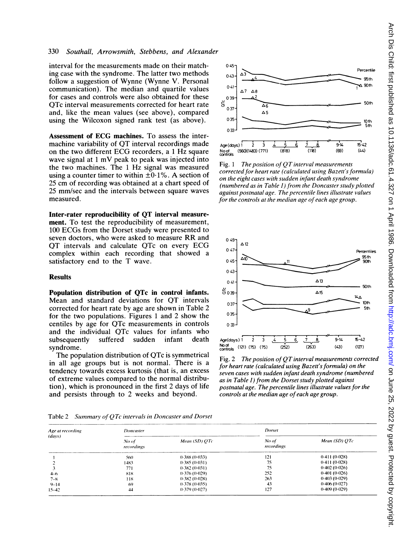#### 330 Southall, Arrowsmith, Stebbens, and Alexander

interval for the measurements made on their matching case with the syndrome. The latter two methods follow a suggestion of Wynne (Wynne V. Personal communication). The median and quartile values for cases and controls were also obtained for these QTc interval measurements corrected for heart rate and, like the mean values (see above), compared using the Wilcoxon signed rank test (as above).

Assessment of ECG machines. To assess the intermachine variability of QT interval recordings made on the two different ECG recorders, <sup>a</sup> <sup>1</sup> Hz square wave signal at <sup>1</sup> mV peak to peak was injected into the two machines. The <sup>1</sup> Hz signal was measured using a counter timer to within  $\pm 0.1\%$ . A section of 25 cm of recording was obtained at a chart speed of 25 mm/sec and the intervals between square waves measured.

Inter-rater reproducibility of QT interval measurement. To test the reproducibility of measurement, 100 ECGs from the Dorset study were presented to seven doctors, who were asked to measure RR and QT intervals and calculate QTc on every ECG complex within each recording that showed a satisfactory end to the T wave.

### **Results**

Population distribution of QTc in control infants. Mean and standard deviations for OT intervals corrected for heart rate by age are shown in Table 2 for the two populations. Figures <sup>1</sup> and 2 show the centiles by age for QTc measurements in controls and the individual QTc values for infants who subsequently syndrome.

The population distribution of QTc is symmetrical in all age groups but is not normal. There is a tendency towards excess kurtosis (that is, an excess of extreme values compared to the normal distribution), which is pronounced in the first 2 days of life and persists through to 2 weeks and beyond.



Fig. 1 The position of  $\overline{OT}$  interval measurements corrected for heart rate (calculated using Bazett's formula) on the eight cases with sudden infant death syndrome (numbered as in Table 1) from the Doncaster study plotted against postnatal age. The percentile lines illustrate values for the controls at the median age of each age group.



Fig. <sup>2</sup> The position of QT interval measurements corrected for heart rate (calculated using Bazett's formula) on the seven cases with sudden infant death syndrome (numbered as in Table 1) from the Dorset study plotted against postnatal age. The percentile lines illustrate values for the controls at the median age of each age group.

|  | Table 2 Summary of QTc intervals in Doncaster and Dorset |  |  |  |  |  |
|--|----------------------------------------------------------|--|--|--|--|--|
|--|----------------------------------------------------------|--|--|--|--|--|

| Age at recording | Doncaster           |                             | Dorset              |                   |  |
|------------------|---------------------|-----------------------------|---------------------|-------------------|--|
| (days)           | No of<br>recordings | Mean $(SD)$ $\overline{OC}$ | No of<br>recordings | Mean $(SD)$ $QTe$ |  |
|                  | 560                 | 0.388(0.033)                | 121                 | 0.411(0.028)      |  |
|                  | 1483                | 0.385(0.031)                | 75                  | 0.411(0.028)      |  |
|                  | 771                 | 0.382(0.031)                | 75                  | 0.402(0.026)      |  |
| $4 - 6$          | 818                 | (1.376)(1.029)              | 252                 | 0.401(0.026)      |  |
| $7 - 8$          | 118                 | 0.382(0.028)                | 263                 | 0.403(0.029)      |  |
| $9 - 14$         | 69                  | 0.378(0.035)                | 43                  | 0.406(0.027)      |  |
| $15 - 42$        | 44                  | 0.379(0.027)                | 127                 | (0.409(0.029))    |  |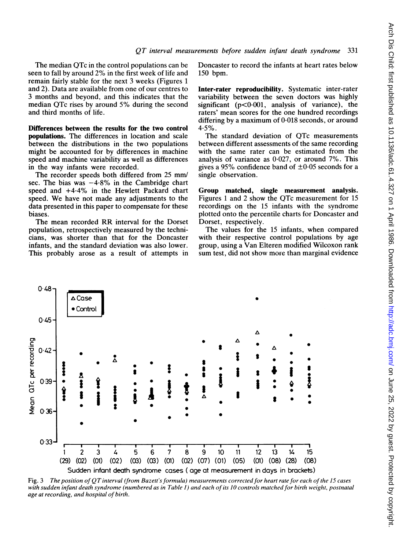The median QTc in the control populations can be seen to fall by around 2% in the first week of life and remain fairly stable for the next 3 weeks (Figures <sup>1</sup> and 2). Data are available from one of our centres to 3 months and beyond, and this indicates that the median QTc rises by around 5% during the second and third months of life.

Differences between the results for the two control populations. The differences in location and scale between the distributions in the two populations might be accounted for by differences in machine speed and machine variability as well as differences in the way infants were recorded.

The recorder speeds both differed from 25 mm/ sec. The bias was  $-4.8\%$  in the Cambridge chart speed and  $+4.4\%$  in the Hewlett Packard chart speed. We have not made any adjustments to the data presented in this paper to compensate for these biases.

The mean recorded RR interval for the Dorset population, retrospectively measured by the technicians, was shorter than that for the Doncaster infants, and the standard deviation was also lower. This probably arose as a result of attempts in Doncaster to record the infants at heart rates below 150 bpm.

Inter-rater reproducibility. Systematic inter-rater variability between the seven doctors was highly significant ( $p < 0.001$ , analysis of variance), the raters' mean scores for the one hundred recordings differing by a maximum of  $0.018$  seconds, or around  $4.5%$ .

The standard deviation of QTc measurements between different assessments of the same recording with the same rater can be estimated from the analysis of variance as 0-027, or around 7%. This gives a 95% confidence band of  $\pm 0.05$  seconds for a single observation.

Group matched, single measurement analysis. Figures <sup>1</sup> and <sup>2</sup> show the QTc measurement for <sup>15</sup> recordings on the 15 infants with the syndrome plotted onto the percentile charts for Doncaster and Dorset, respectively.

The values for the 15 infants, when compared with their respective control populations by age group, using a Van Elteren modified Wilcoxon rank sum test, did not show more than marginal evidence



Fig. 3 The position of QT interval (from Bazett's formula) measurements corrected for heart rate for each of the 15 cases with sudden infant death syndrome (numbered as in Table 1) and each of its 10 controls matched for birth weight, postnatal age at recording, and hospital of birth.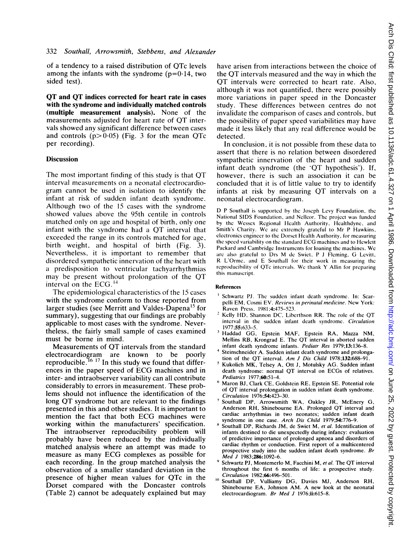of <sup>a</sup> tendency to <sup>a</sup> raised distribution of QTc levels among the infants with the syndrome  $(p=0.14,)$  two sided test).

QT and QT indices corrected for heart rate in cases with the syndrome and individually matched controls (multiple measurement analysis). None of the measurements adjusted for heart rate of OT intervals showed any significant difference between cases and controls  $(p> 0.05)$  (Fig. 3 for the mean QTc per recording).

#### Discussion

The most important finding of this study is that QT interval measurements on a neonatal electrocardiogram cannot be used in isolation to identify the infant at risk of sudden infant death syndrome. Although two of the 15 cases with the syndrome showed values above the 95th centile in controls matched only on age and hospital of birth, only one infant with the syndrome had <sup>a</sup> QT interval that exceeded the range in its controls matched for age, birth weight, and hospital of birth (Fig. 3). Nevertheless, it is important to remember that disordered sympathetic innervation of the heart with a predisposition to ventricular tachyarrhythmias may be present without prolongation of the QT interval on the ECG.'4

The epidemiological characteristics of the <sup>15</sup> cases with the syndrome conform to those reported from larger studies (see Merritt and Valdes-Dapena<sup>15</sup> for summary), suggesting that our findings are probably applicable to most cases with the syndrome. Nevertheless, the fairly small sample of cases examined must be borne in mind.

Measurements of QT intervals from the standard electrocardiogram are known to be poorly reproducible.<sup>16 17</sup> In this study we found that differences in the paper speed of ECG machines and in inter- and intraobserver variability can all contribute considerably to errors in measurement. These problems should not influence the identification of the long QT syndrome but are relevant to the findings presented in this and other studies. It is important to mention the fact that both ECG machines were working within the manufacturers' specification. The intraobserver reproducibility problem will probably have been reduced by the individually matched analysis where an attempt was made to measure as many ECG complexes as possible for each recording. In the group matched analysis the observation of a smaller standard deviation in the presence of higher mean values for QTc in the Dorset compared with the Doncaster controls (Table 2) cannot be adequately explained but may have arisen from interactions between the choice of the OT intervals measured and the way in which the OT intervals were corrected to heart rate. Also, although it was not quantified, there were possibly more variations in paper speed in the Doncaster study. These differences between centres do not invalidate the comparison of cases and controls, but the possibility of paper speed variabilities may have made it less likely that any real difference would be detected.

In conclusion, it is not possible from these data to assert that there is no relation between disordered sympathetic innervation of the heart and sudden infant death syndrome (the 'QT hypothesis'). If, however, there is such an association it can be concluded that it is of little value to try to identify infants at risk by measuring QT intervals on <sup>a</sup> neonatal electrocardiogram.

D <sup>P</sup> Southall is supported by the Joscph Lcvy Foundation, the National SIDS Foundation, and Ncllcor. The project was funded by the Wessex Regional Hcalth Authority. Hcalthdyne, and Smith's Charity. We arc cxtremcly grateful to Mr P Hawkins, clcctronics engineer to the Dorsct Hcalth Authority, for measuring the speed variability on the standard ECG machines and to Hewlett Packard and Cambridge Instrumcnts for loaning the machines. We are also grateful to Drs M de Swiet, P J Fleming, G Levitt, R L'Ormc, and E Southall for their work in mcasuring the rcproducibility of QTc intcrvals. Wc thank Y Allin for preparing this manuscript.

#### References

- <sup>1</sup> Schwartz PJ. The sudden infant death syndrome. In: Scarpelli EM, Cosmi EV. Reviews in perinatal medicine. New York: Raven Press, 1981;4:475-523.
- Kelly HD, Shannon DC, Liberthson RR. The role of the QT interval in the sudden infant death syndrome. Circulation 1977;55:633-5.
- <sup>3</sup> Haddad GG, Epstein MAF, Epstein RA, Mazza NM, Mellins RB, Krongrad E. The QT interval in aborted sudden infant death syndrome infants. Pediatr Res 1979;13:136-8.
- Steinschneider A. Sudden infant death syndrome and prolongation of the QT interval. Am <sup>J</sup> Dis Child 1978;132:688-91.
- <sup>5</sup> Kukolich MK, Telsey A, Ott J, Motulsky AG. Sudden infant death syndrome: normal OT interval on ECGs of relatives. Pediatrics 1977;60:51-4.
- <sup>6</sup> Maron BJ, Clark CE, Goldstein RE, Epstein SE. Potential role of QT interval prolongation in sudden infant death syndrome. Circulation 1976;54:423-30.
- <sup>7</sup> Southall DP, Arrowsmith WA, Oakley JR, McEnery G, Anderson RH, Shinebourne EA. Prolonged QT interval and cardiac arrhythmias in two neonates; sudden infant death syndrome in one case. Arch Dis Child 1979;54:776-9.
- Southall DP, Richards JM, de Swiet M, et al. Identification of infants destined to die unexpectedly during infancy: evaluation of predictive importance of prolonged apnoea and disorders of cardiac rhythm or conduction. First report of a multicentered prospective study into the sudden infant death syndrome. Br Med J 1983;286:1092-6.
- Schwartz PJ, Montemerlo M, Facchini M, et al. The QT interval throughout the first 6 months of life: a prospective study. Circulation 1982;66:496-501.
- <sup>10</sup> Southall DP, Vulliamy DG, Davies MJ, Anderson RH, Shinebourne EA, Johnson AM. A new look at the neonatal electrocardiogram. Br Med J 1976;ii:615-8.